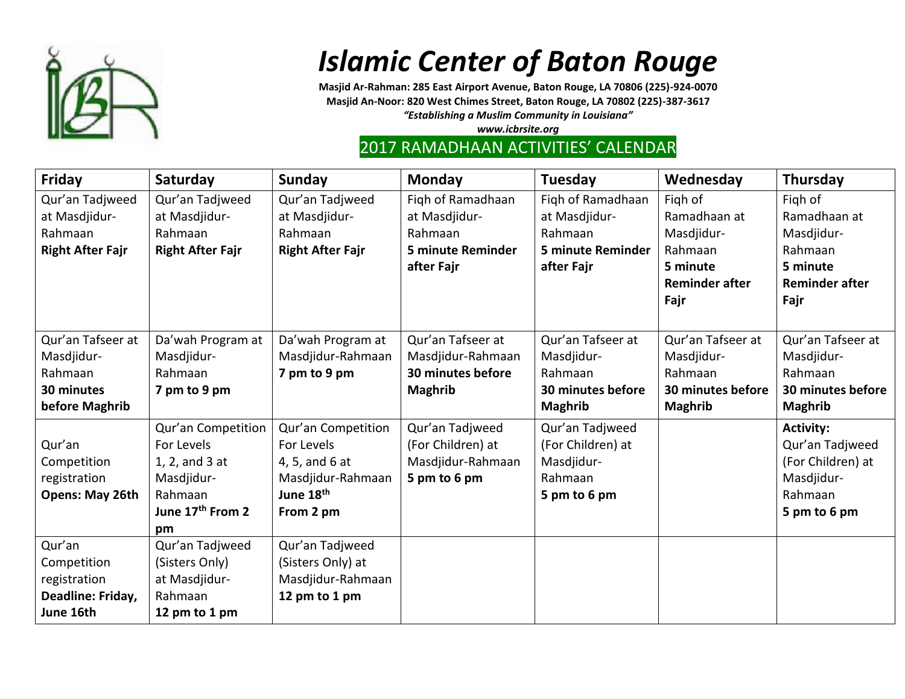

## *Islamic Center of Baton Rouge*

**Masjid Ar-Rahman: 285 East Airport Avenue, Baton Rouge, LA 70806 (225)-924-0070 Masjid An-Noor: 820 West Chimes Street, Baton Rouge, LA 70802 (225)-387-3617** *"Establishing a Muslim Community in Louisiana"*

*www.icbrsite.org*

## 2017 RAMADHAAN ACTIVITIES' CALENDAR

| Friday                  | Saturday                     | Sunday                  | <b>Monday</b>            | Tuesday                  | Wednesday             | Thursday              |
|-------------------------|------------------------------|-------------------------|--------------------------|--------------------------|-----------------------|-----------------------|
| Qur'an Tadjweed         | Qur'an Tadjweed              | Qur'an Tadjweed         | Figh of Ramadhaan        | Figh of Ramadhaan        | Figh of               | Figh of               |
| at Masdjidur-           | at Masdjidur-                | at Masdjidur-           | at Masdjidur-            | at Masdjidur-            | Ramadhaan at          | Ramadhaan at          |
| Rahmaan                 | Rahmaan                      | Rahmaan                 | Rahmaan                  | Rahmaan                  | Masdjidur-            | Masdjidur-            |
| <b>Right After Fajr</b> | <b>Right After Fajr</b>      | <b>Right After Fajr</b> | <b>5 minute Reminder</b> | <b>5 minute Reminder</b> | Rahmaan               | Rahmaan               |
|                         |                              |                         | after Fajr               | after Fajr               | 5 minute              | 5 minute              |
|                         |                              |                         |                          |                          | <b>Reminder after</b> | <b>Reminder after</b> |
|                         |                              |                         |                          |                          | Fajr                  | Fajr                  |
|                         |                              |                         |                          |                          |                       |                       |
| Qur'an Tafseer at       | Da'wah Program at            | Da'wah Program at       | Qur'an Tafseer at        | Qur'an Tafseer at        | Qur'an Tafseer at     | Qur'an Tafseer at     |
| Masdjidur-              | Masdjidur-                   | Masdjidur-Rahmaan       | Masdjidur-Rahmaan        | Masdjidur-               | Masdjidur-            | Masdjidur-            |
| Rahmaan                 | Rahmaan                      | 7 pm to 9 pm            | 30 minutes before        | Rahmaan                  | Rahmaan               | Rahmaan               |
| 30 minutes              | 7 pm to 9 pm                 |                         | <b>Maghrib</b>           | 30 minutes before        | 30 minutes before     | 30 minutes before     |
| before Maghrib          |                              |                         |                          | <b>Maghrib</b>           | <b>Maghrib</b>        | <b>Maghrib</b>        |
|                         | Qur'an Competition           | Qur'an Competition      | Qur'an Tadjweed          | Qur'an Tadjweed          |                       | <b>Activity:</b>      |
| Qur'an                  | For Levels                   | For Levels              | (For Children) at        | (For Children) at        |                       | Qur'an Tadjweed       |
| Competition             | 1, 2, and 3 at               | 4, 5, and 6 at          | Masdjidur-Rahmaan        | Masdjidur-               |                       | (For Children) at     |
| registration            | Masdjidur-                   | Masdjidur-Rahmaan       | 5 pm to 6 pm             | Rahmaan                  |                       | Masdjidur-            |
| Opens: May 26th         | Rahmaan                      | June 18th               |                          | 5 pm to 6 pm             |                       | Rahmaan               |
|                         | June 17 <sup>th</sup> From 2 | From 2 pm               |                          |                          |                       | 5 pm to 6 pm          |
|                         | pm                           |                         |                          |                          |                       |                       |
| Qur'an                  | Qur'an Tadjweed              | Qur'an Tadjweed         |                          |                          |                       |                       |
| Competition             | (Sisters Only)               | (Sisters Only) at       |                          |                          |                       |                       |
| registration            | at Masdjidur-                | Masdjidur-Rahmaan       |                          |                          |                       |                       |
| Deadline: Friday,       | Rahmaan                      | 12 pm to 1 pm           |                          |                          |                       |                       |
| June 16th               | 12 pm to 1 pm                |                         |                          |                          |                       |                       |